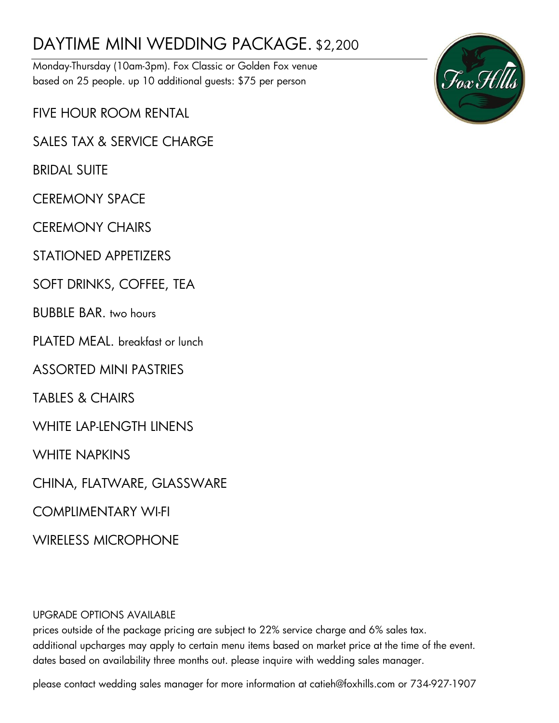# DAYTIME MINI WEDDING PACKAGE. \$2,200

Monday-Thursday (10am-3pm). Fox Classic or Golden Fox venue based on 25 people. up 10 additional guests: \$75 per person

FIVE HOUR ROOM RENTAL

SALES TAX & SERVICE CHARGE

BRIDAL SUITE

CEREMONY SPACE

CEREMONY CHAIRS

STATIONED APPETIZERS

SOFT DRINKS, COFFEE, TEA

BUBBLE BAR. two hours

PLATED MEAL. breakfast or lunch

ASSORTED MINI PASTRIES

TABLES & CHAIRS

WHITE LAP-LENGTH LINENS

WHITE NAPKINS

CHINA, FLATWARE, GLASSWARE

COMPLIMENTARY WI-FI

WIRELESS MICROPHONE

UPGRADE OPTIONS AVAILABLE

prices outside of the package pricing are subject to 22% service charge and 6% sales tax. additional upcharges may apply to certain menu items based on market price at the time of the event. dates based on availability three months out. please inquire with wedding sales manager.

please contact wedding sales manager for more information at catieh@foxhills.com or 734-927-1907

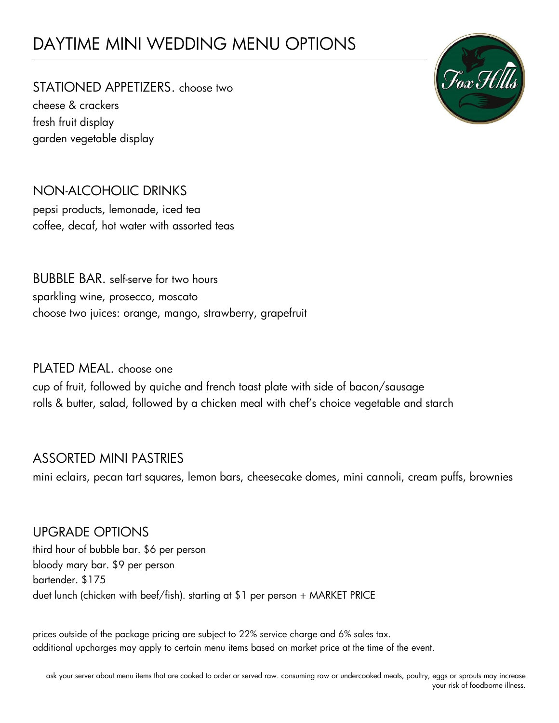# DAYTIME MINI WEDDING MENU OPTIONS

STATIONED APPETIZERS. choose two cheese & crackers fresh fruit display garden vegetable display



## NON-ALCOHOLIC DRINKS pepsi products, lemonade, iced tea coffee, decaf, hot water with assorted teas

BUBBLE BAR. self-serve for two hours sparkling wine, prosecco, moscato choose two juices: orange, mango, strawberry, grapefruit

## PLATED MEAL. choose one

cup of fruit, followed by quiche and french toast plate with side of bacon/sausage rolls & butter, salad, followed by a chicken meal with chef's choice vegetable and starch

## ASSORTED MINI PASTRIES

mini eclairs, pecan tart squares, lemon bars, cheesecake domes, mini cannoli, cream puffs, brownies

#### UPGRADE OPTIONS

third hour of bubble bar. \$6 per person bloody mary bar. \$9 per person bartender. \$175 duet lunch (chicken with beef/fish). starting at \$1 per person + MARKET PRICE

prices outside of the package pricing are subject to 22% service charge and 6% sales tax. additional upcharges may apply to certain menu items based on market price at the time of the event.

ask your server about menu items that are cooked to order or served raw. consuming raw or undercooked meats, poultry, eggs or sprouts may increase your risk of foodborne illness.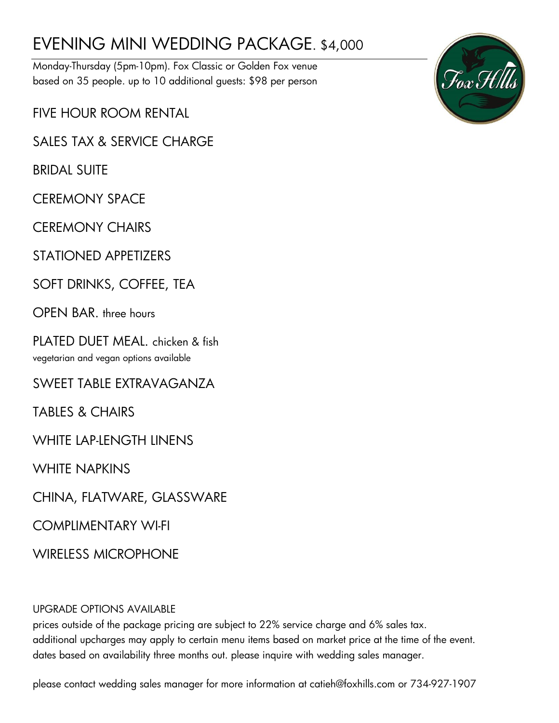# EVENING MINI WEDDING PACKAGE. \$4,000

Monday-Thursday (5pm-10pm). Fox Classic or Golden Fox venue based on 35 people. up to 10 additional guests: \$98 per person

FIVE HOUR ROOM RENTAL

SALES TAX & SERVICE CHARGE

BRIDAL SUITE

CEREMONY SPACE

CEREMONY CHAIRS

STATIONED APPETIZERS

SOFT DRINKS, COFFEE, TEA

OPEN BAR. three hours

PLATED DUET MEAL. chicken & fish vegetarian and vegan options available

SWEET TABLE EXTRAVAGANZA

TABLES & CHAIRS

WHITE LAP-LENGTH LINENS

WHITE NAPKINS

CHINA, FLATWARE, GLASSWARE

COMPLIMENTARY WI-FI

WIRFIFSS MICROPHONE

#### UPGRADE OPTIONS AVAILABLE

prices outside of the package pricing are subject to 22% service charge and 6% sales tax. additional upcharges may apply to certain menu items based on market price at the time of the event. dates based on availability three months out. please inquire with wedding sales manager.